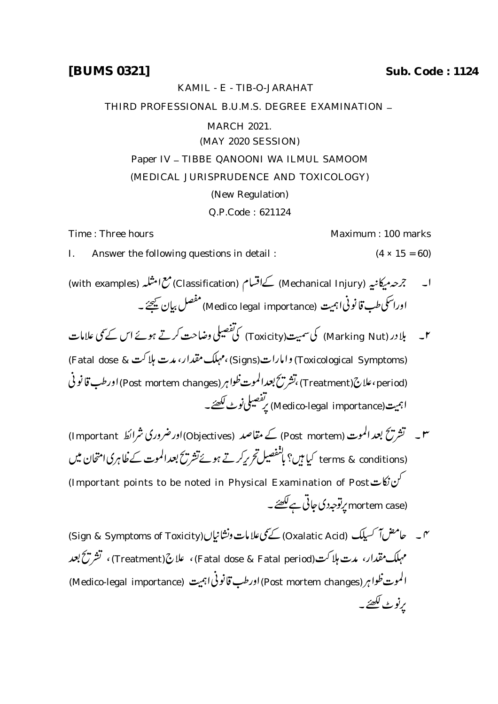## KAMIL - E - TIB-O-JARAHAT

THIRD PROFESSIONAL B.U.M.S. DEGREE EXAMINATION \_

## MARCH 2021.

(MAY 2020 SESSION)

Paper IV - TIBBE QANOONI WA ILMUL SAMOOM

## (MEDICAL JURISPRUDENCE AND TOXICOLOGY)

(New Regulation)

Q.P.Code : 621124

Time : Three hours **Maximum** : 100 marks

I. Answer the following questions in detail :  $(4 \times 15 = 60)$ 

- ا۔ جمعہ بیکانیہ (Mechanical Injury) کےاقسام (Classification) مع امثلہ (with examples) اوراسکی طب قانونیا ہمیت (Medico legal importance) مفصل بیان کیجئے۔
- ۲۔ بلا در (Marking Nut) کی سمیت(Toxicity) کی تفصیلی وضاحت کرتے ہوئے اس کے تمی علامات (Toxicological Symptoms) وامارات(Signs)،مہلک مقدار، مدت ہلاکت & Fatal dose) (period) ورطب قانو (Treatment) ،تشریح بعدالموت ظواہر (Post mortem changes) اورطب قانو نی اہمیت(Medico-legal importance) پرتفصیلی نوٹ لکھئے۔
- ۳۔ تشریح بعد الموت (Post mortem) کے مقاصد (Objectives)اور ضروری شرائط Important) terms & conditions) کیا ہیں؟ پانٹفصیل تح پر کرتے ہوئے تشریح بعدالموت کے ظاہری امتحان میں (Important points to be noted in Physical Examination of Post (mortem case پر توجہ دی جاتی ہے <u>لکھئے</u>۔
- م به سلما معن آکسیلک (Oxalatic Acid) کے سمجھی علامات ونشانیاں(Sign & Symptoms of Toxicity) مہلک مقدار، مدت ہلاکت(Fatal dose & Fatal period)، علاج (Treatment)، تشریح بعد الموت ظوا ہر (Post mortem changes) اورطب قانونی اہمیت (Medico-legal importance) پرنوٹ لکھئے۔